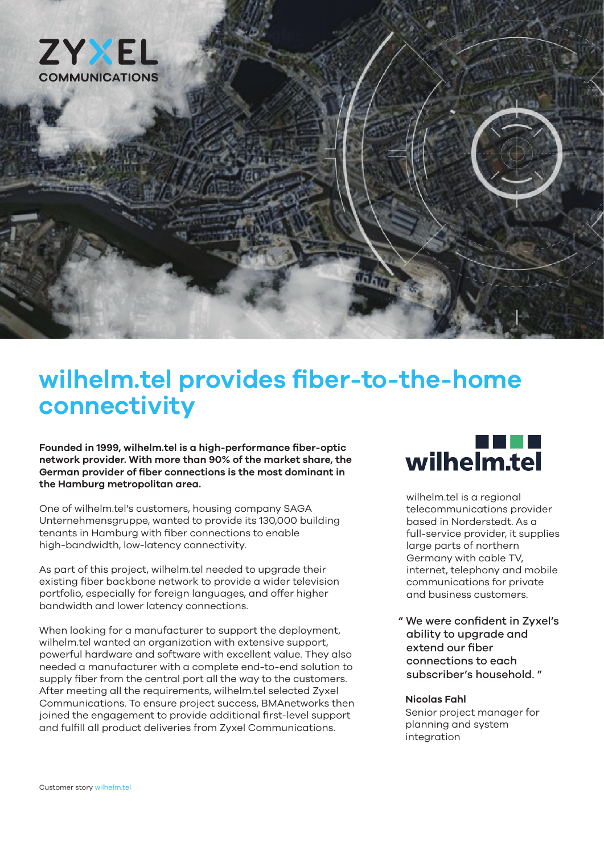

# **wilhelm.tel provides fiber-to-the-home connectivity**

**Founded in 1999, wilhelm.tel is a high-performance fiber-optic network provider. With more than 90% of the market share, the German provider of fiber connections is the most dominant in the Hamburg metropolitan area.**

One of wilhelm.tel's customers, housing company SAGA Unternehmensgruppe, wanted to provide its 130,000 building tenants in Hamburg with fiber connections to enable high-bandwidth, low-latency connectivity.

As part of this project, wilhelm.tel needed to upgrade their existing fiber backbone network to provide a wider television portfolio, especially for foreign languages, and offer higher bandwidth and lower latency connections.

When looking for a manufacturer to support the deployment, wilhelm.tel wanted an organization with extensive support, powerful hardware and software with excellent value. They also needed a manufacturer with a complete end-to-end solution to supply fiber from the central port all the way to the customers. After meeting all the requirements, wilhelm.tel selected Zyxel Communications. To ensure project success, BMAnetworks then joined the engagement to provide additional first-level support and fulfill all product deliveries from Zyxel Communications.

# wilhelm.tel

wilhelm.tel is a regional telecommunications provider based in Norderstedt. As a full-service provider, it supplies large parts of northern Germany with cable TV, internet, telephony and mobile communications for private and business customers.

" We were confident in Zyxel's ability to upgrade and extend our fiber connections to each subscriber's household. "

#### **Nicolas Fahl**

Senior project manager for planning and system integration